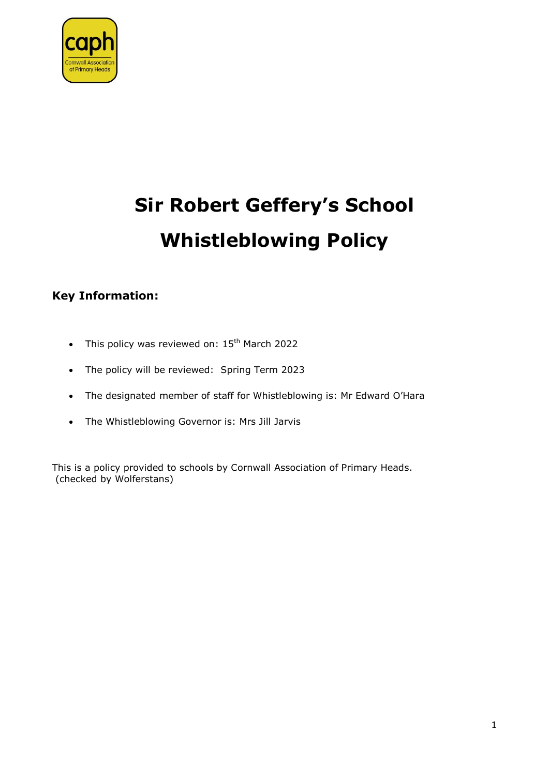

# **Sir Robert Geffery's School Whistleblowing Policy**

# **Key Information:**

- This policy was reviewed on:  $15<sup>th</sup>$  March 2022
- The policy will be reviewed: Spring Term 2023
- The designated member of staff for Whistleblowing is: Mr Edward O'Hara
- The Whistleblowing Governor is: Mrs Jill Jarvis

This is a policy provided to schools by Cornwall Association of Primary Heads. (checked by Wolferstans)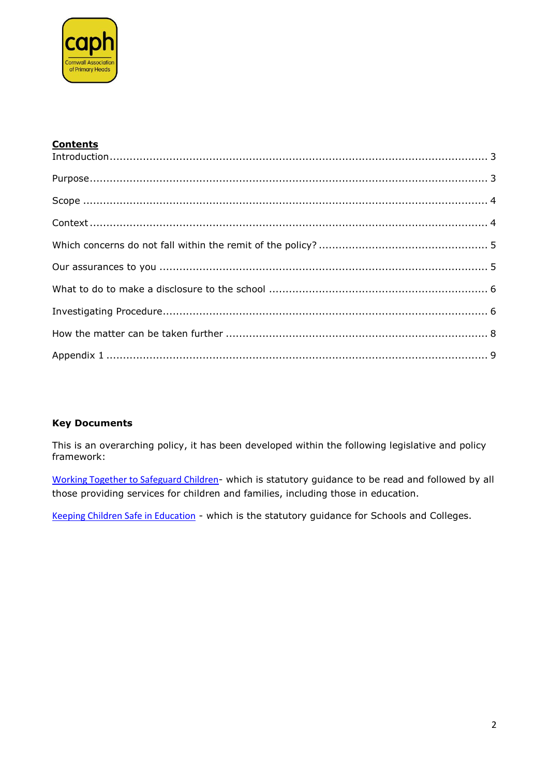

# **Contents**

| Introduction 3 |  |
|----------------|--|
|                |  |
|                |  |
|                |  |
|                |  |
|                |  |
|                |  |
|                |  |
|                |  |
|                |  |

# **Key Documents**

This is an overarching policy, it has been developed within the following legislative and policy framework:

Working Together to Safeguard Children- which is statutory guidance to be read and followed by all those providing services for children and families, including those in education.

Keeping Children Safe in Education - which is the statutory guidance for Schools and Colleges.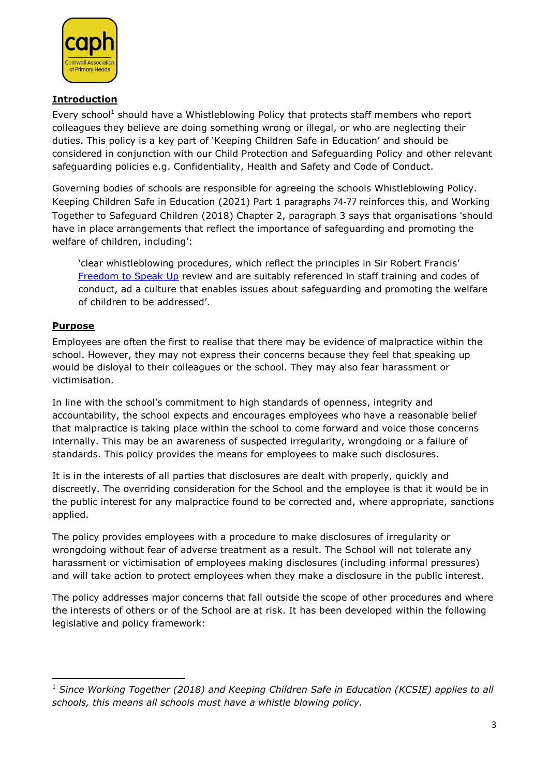

#### <span id="page-2-0"></span>**Introduction**

Every school<sup>1</sup> should have a Whistleblowing Policy that protects staff members who report colleagues they believe are doing something wrong or illegal, or who are neglecting their duties. This policy is a key part of 'Keeping Children Safe in Education' and should be considered in conjunction with our Child Protection and Safeguarding Policy and other relevant safeguarding policies e.g. Confidentiality, Health and Safety and Code of Conduct.

Governing bodies of schools are responsible for agreeing the schools Whistleblowing Policy. Keeping Children Safe in Education (2021) Part 1 paragraphs 74-77 reinforces this, and Working Together to Safeguard Children (2018) Chapter 2, paragraph 3 says that organisations 'should have in place arrangements that reflect the importance of safeguarding and promoting the welfare of children, including':

'clear whistleblowing procedures, which reflect the principles in Sir Robert Francis' [Freedom to Speak Up](http://www.freedomtospeakup.org.uk/) review and are suitably referenced in staff training and codes of conduct, ad a culture that enables issues about safeguarding and promoting the welfare of children to be addressed'.

# <span id="page-2-1"></span>**Purpose**

Employees are often the first to realise that there may be evidence of malpractice within the school. However, they may not express their concerns because they feel that speaking up would be disloyal to their colleagues or the school. They may also fear harassment or victimisation.

In line with the school's commitment to high standards of openness, integrity and accountability, the school expects and encourages employees who have a reasonable belief that malpractice is taking place within the school to come forward and voice those concerns internally. This may be an awareness of suspected irregularity, wrongdoing or a failure of standards. This policy provides the means for employees to make such disclosures.

It is in the interests of all parties that disclosures are dealt with properly, quickly and discreetly. The overriding consideration for the School and the employee is that it would be in the public interest for any malpractice found to be corrected and, where appropriate, sanctions applied.

The policy provides employees with a procedure to make disclosures of irregularity or wrongdoing without fear of adverse treatment as a result. The School will not tolerate any harassment or victimisation of employees making disclosures (including informal pressures) and will take action to protect employees when they make a disclosure in the public interest.

The policy addresses major concerns that fall outside the scope of other procedures and where the interests of others or of the School are at risk. It has been developed within the following legislative and policy framework:

**<sup>.</sup>** <sup>1</sup> Since Working Together (2018) and Keeping Children Safe in Education (KCSIE) applies to all *schools, this means all schools must have a whistle blowing policy.*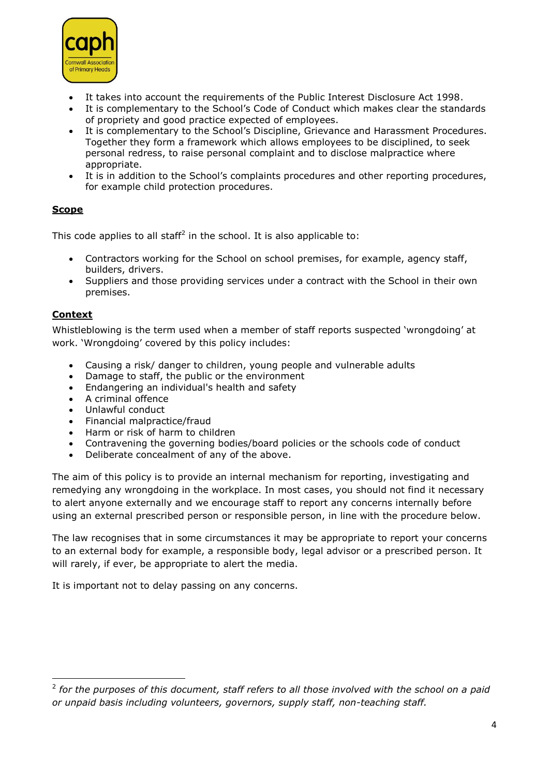

- It takes into account the requirements of the Public Interest Disclosure Act 1998.
- It is complementary to the School's Code of Conduct which makes clear the standards of propriety and good practice expected of employees.
- It is complementary to the School's Discipline, Grievance and Harassment Procedures. Together they form a framework which allows employees to be disciplined, to seek personal redress, to raise personal complaint and to disclose malpractice where appropriate.
- It is in addition to the School's complaints procedures and other reporting procedures, for example child protection procedures.

# <span id="page-3-0"></span>**Scope**

This code applies to all staff<sup>2</sup> in the school. It is also applicable to:

- Contractors working for the School on school premises, for example, agency staff, builders, drivers.
- Suppliers and those providing services under a contract with the School in their own premises.

# <span id="page-3-1"></span>**Context**

Whistleblowing is the term used when a member of staff reports suspected 'wrongdoing' at work. 'Wrongdoing' covered by this policy includes:

- Causing a risk/ danger to children, young people and vulnerable adults
- Damage to staff, the public or the environment
- Endangering an individual's health and safety
- A criminal offence
- Unlawful conduct
- Financial malpractice/fraud
- Harm or risk of harm to children
- Contravening the governing bodies/board policies or the schools code of conduct
- Deliberate concealment of any of the above.

The aim of this policy is to provide an internal mechanism for reporting, investigating and remedying any wrongdoing in the workplace. In most cases, you should not find it necessary to alert anyone externally and we encourage staff to report any concerns internally before using an external prescribed person or responsible person, in line with the procedure below.

The law recognises that in some circumstances it may be appropriate to report your concerns to an external body for example, a responsible body, legal advisor or a prescribed person. It will rarely, if ever, be appropriate to alert the media.

It is important not to delay passing on any concerns.

**<sup>.</sup>** 2 *for the purposes of this document, staff refers to all those involved with the school on a paid or unpaid basis including volunteers, governors, supply staff, non-teaching staff.*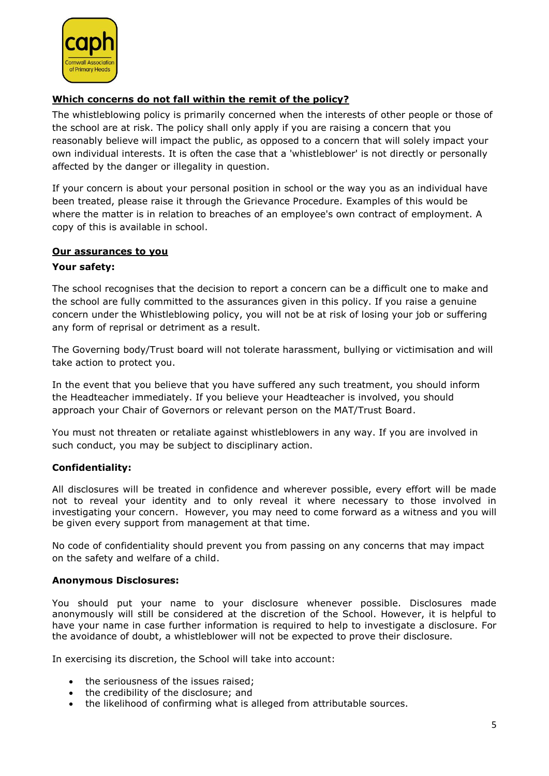

# <span id="page-4-0"></span>**Which concerns do not fall within the remit of the policy?**

The whistleblowing policy is primarily concerned when the interests of other people or those of the school are at risk. The policy shall only apply if you are raising a concern that you reasonably believe will impact the public, as opposed to a concern that will solely impact your own individual interests. It is often the case that a 'whistleblower' is not directly or personally affected by the danger or illegality in question.

If your concern is about your personal position in school or the way you as an individual have been treated, please raise it through the Grievance Procedure. Examples of this would be where the matter is in relation to breaches of an employee's own contract of employment. A copy of this is available in school.

#### <span id="page-4-1"></span>**Our assurances to you**

#### **Your safety:**

The school recognises that the decision to report a concern can be a difficult one to make and the school are fully committed to the assurances given in this policy. If you raise a genuine concern under the Whistleblowing policy, you will not be at risk of losing your job or suffering any form of reprisal or detriment as a result.

The Governing body/Trust board will not tolerate harassment, bullying or victimisation and will take action to protect you.

In the event that you believe that you have suffered any such treatment, you should inform the Headteacher immediately. If you believe your Headteacher is involved, you should approach your Chair of Governors or relevant person on the MAT/Trust Board.

You must not threaten or retaliate against whistleblowers in any way. If you are involved in such conduct, you may be subject to disciplinary action.

# **Confidentiality:**

All disclosures will be treated in confidence and wherever possible, every effort will be made not to reveal your identity and to only reveal it where necessary to those involved in investigating your concern. However, you may need to come forward as a witness and you will be given every support from management at that time.

No code of confidentiality should prevent you from passing on any concerns that may impact on the safety and welfare of a child.

#### **Anonymous Disclosures:**

You should put your name to your disclosure whenever possible. Disclosures made anonymously will still be considered at the discretion of the School. However, it is helpful to have your name in case further information is required to help to investigate a disclosure. For the avoidance of doubt, a whistleblower will not be expected to prove their disclosure.

In exercising its discretion, the School will take into account:

- the seriousness of the issues raised;
- the credibility of the disclosure; and
- the likelihood of confirming what is alleged from attributable sources.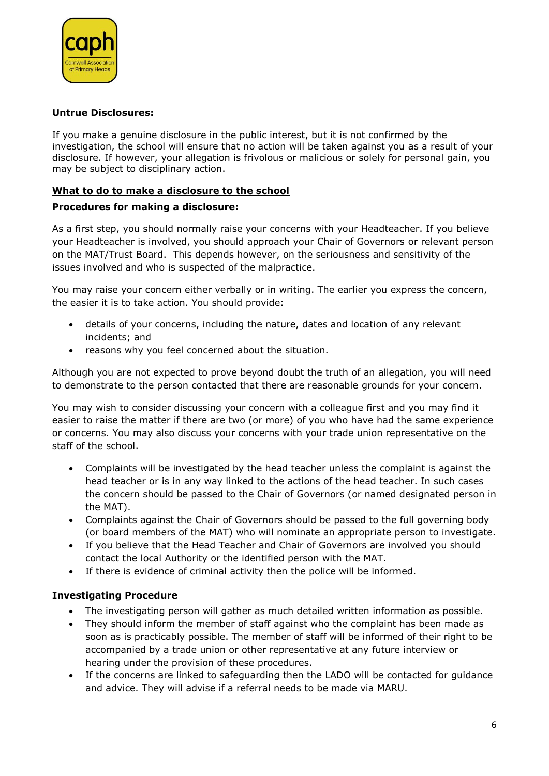

#### **Untrue Disclosures:**

If you make a genuine disclosure in the public interest, but it is not confirmed by the investigation, the school will ensure that no action will be taken against you as a result of your disclosure. If however, your allegation is frivolous or malicious or solely for personal gain, you may be subject to disciplinary action.

#### <span id="page-5-0"></span>**What to do to make a disclosure to the school**

#### **Procedures for making a disclosure:**

As a first step, you should normally raise your concerns with your Headteacher. If you believe your Headteacher is involved, you should approach your Chair of Governors or relevant person on the MAT/Trust Board. This depends however, on the seriousness and sensitivity of the issues involved and who is suspected of the malpractice.

You may raise your concern either verbally or in writing. The earlier you express the concern, the easier it is to take action. You should provide:

- details of your concerns, including the nature, dates and location of any relevant incidents; and
- reasons why you feel concerned about the situation.

Although you are not expected to prove beyond doubt the truth of an allegation, you will need to demonstrate to the person contacted that there are reasonable grounds for your concern.

You may wish to consider discussing your concern with a colleague first and you may find it easier to raise the matter if there are two (or more) of you who have had the same experience or concerns. You may also discuss your concerns with your trade union representative on the staff of the school.

- Complaints will be investigated by the head teacher unless the complaint is against the head teacher or is in any way linked to the actions of the head teacher. In such cases the concern should be passed to the Chair of Governors (or named designated person in the MAT).
- Complaints against the Chair of Governors should be passed to the full governing body (or board members of the MAT) who will nominate an appropriate person to investigate.
- If you believe that the Head Teacher and Chair of Governors are involved you should contact the local Authority or the identified person with the MAT.
- If there is evidence of criminal activity then the police will be informed.

# <span id="page-5-1"></span>**Investigating Procedure**

- The investigating person will gather as much detailed written information as possible.
- They should inform the member of staff against who the complaint has been made as soon as is practicably possible. The member of staff will be informed of their right to be accompanied by a trade union or other representative at any future interview or hearing under the provision of these procedures.
- If the concerns are linked to safeguarding then the LADO will be contacted for guidance and advice. They will advise if a referral needs to be made via MARU.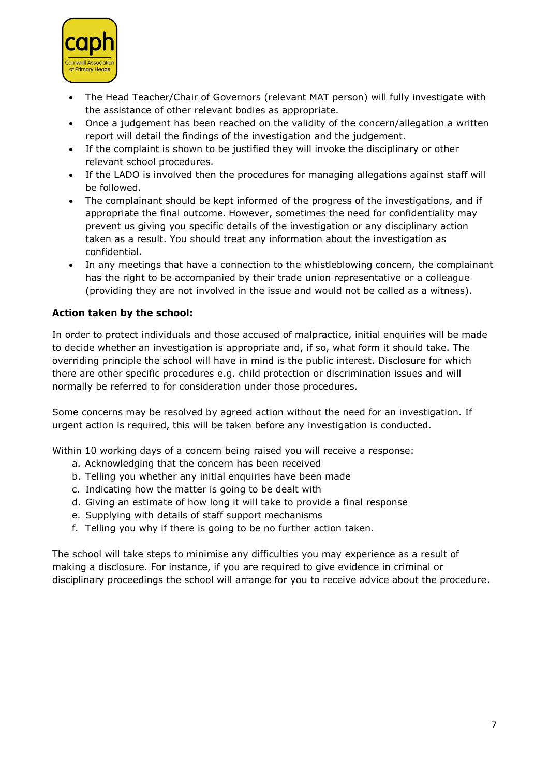

- The Head Teacher/Chair of Governors (relevant MAT person) will fully investigate with the assistance of other relevant bodies as appropriate.
- Once a judgement has been reached on the validity of the concern/allegation a written report will detail the findings of the investigation and the judgement.
- If the complaint is shown to be justified they will invoke the disciplinary or other relevant school procedures.
- If the LADO is involved then the procedures for managing allegations against staff will be followed.
- The complainant should be kept informed of the progress of the investigations, and if appropriate the final outcome. However, sometimes the need for confidentiality may prevent us giving you specific details of the investigation or any disciplinary action taken as a result. You should treat any information about the investigation as confidential.
- In any meetings that have a connection to the whistleblowing concern, the complainant has the right to be accompanied by their trade union representative or a colleague (providing they are not involved in the issue and would not be called as a witness).

# **Action taken by the school:**

In order to protect individuals and those accused of malpractice, initial enquiries will be made to decide whether an investigation is appropriate and, if so, what form it should take. The overriding principle the school will have in mind is the public interest. Disclosure for which there are other specific procedures e.g. child protection or discrimination issues and will normally be referred to for consideration under those procedures.

Some concerns may be resolved by agreed action without the need for an investigation. If urgent action is required, this will be taken before any investigation is conducted.

Within 10 working days of a concern being raised you will receive a response:

- a. Acknowledging that the concern has been received
- b. Telling you whether any initial enquiries have been made
- c. Indicating how the matter is going to be dealt with
- d. Giving an estimate of how long it will take to provide a final response
- e. Supplying with details of staff support mechanisms
- f. Telling you why if there is going to be no further action taken.

The school will take steps to minimise any difficulties you may experience as a result of making a disclosure. For instance, if you are required to give evidence in criminal or disciplinary proceedings the school will arrange for you to receive advice about the procedure.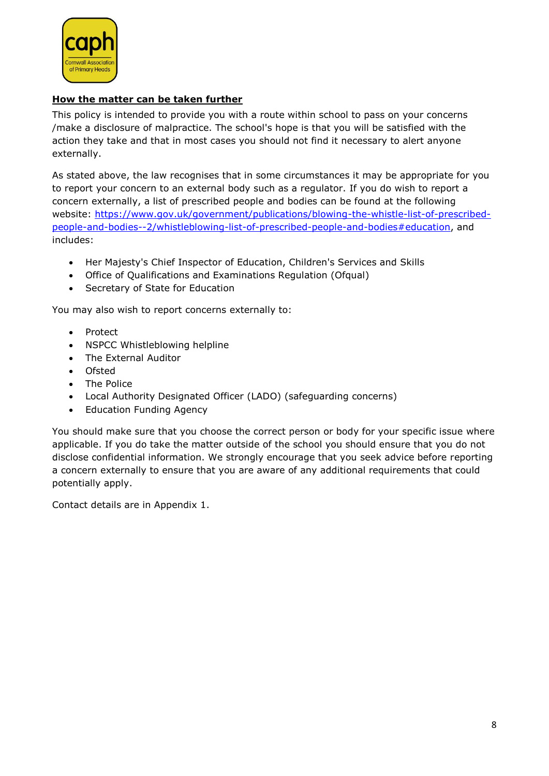

# <span id="page-7-0"></span>**How the matter can be taken further**

This policy is intended to provide you with a route within school to pass on your concerns /make a disclosure of malpractice. The school's hope is that you will be satisfied with the action they take and that in most cases you should not find it necessary to alert anyone externally.

As stated above, the law recognises that in some circumstances it may be appropriate for you to report your concern to an external body such as a regulator. If you do wish to report a concern externally, a list of prescribed people and bodies can be found at the following website: [https://www.gov.uk/government/publications/blowing-the-whistle-list-of-prescribed](https://www.gov.uk/government/publications/blowing-the-whistle-list-of-prescribed-people-and-bodies--2/whistleblowing-list-of-prescribed-people-and-bodies#education)[people-and-bodies--2/whistleblowing-list-of-prescribed-people-and-bodies#education,](https://www.gov.uk/government/publications/blowing-the-whistle-list-of-prescribed-people-and-bodies--2/whistleblowing-list-of-prescribed-people-and-bodies#education) and includes:

- Her Majesty's Chief Inspector of Education, Children's Services and Skills
- Office of Qualifications and Examinations Regulation (Ofqual)
- Secretary of State for Education

You may also wish to report concerns externally to:

- Protect
- NSPCC Whistleblowing helpline
- The External Auditor
- Ofsted
- The Police
- Local Authority Designated Officer (LADO) (safeguarding concerns)
- Education Funding Agency

You should make sure that you choose the correct person or body for your specific issue where applicable. If you do take the matter outside of the school you should ensure that you do not disclose confidential information. We strongly encourage that you seek advice before reporting a concern externally to ensure that you are aware of any additional requirements that could potentially apply.

Contact details are in Appendix 1.